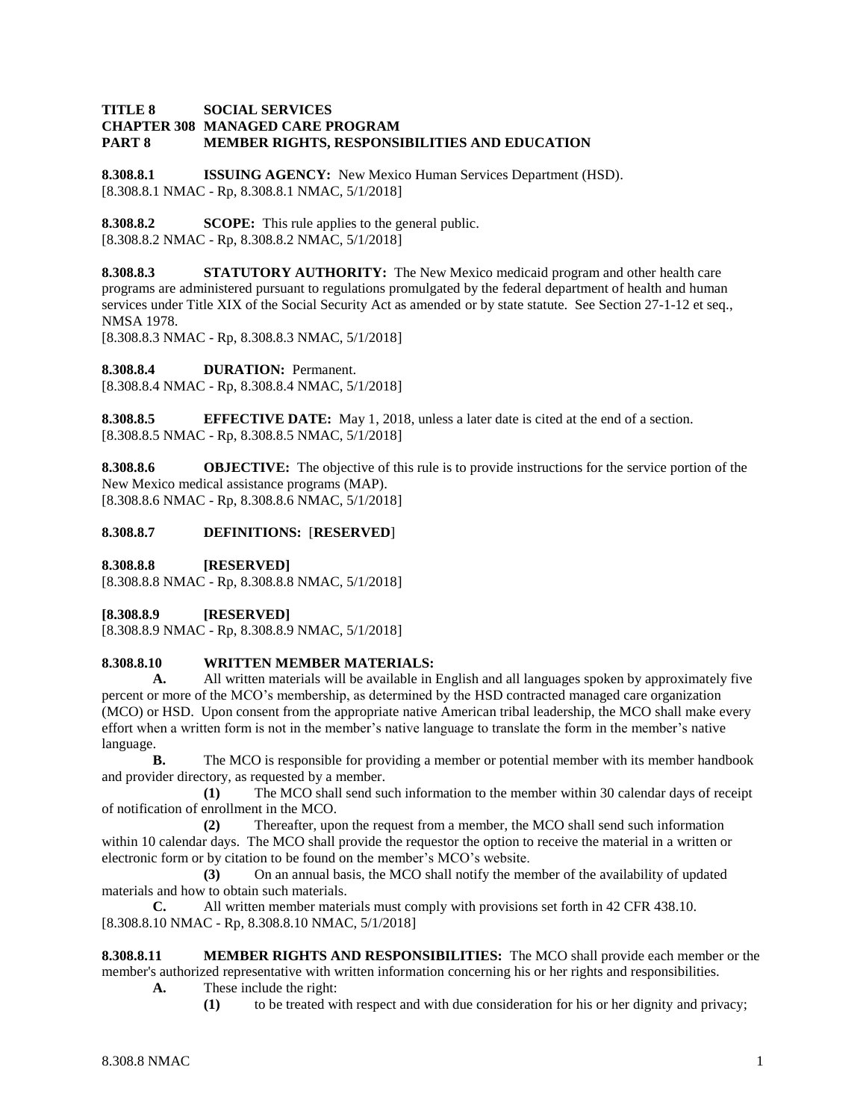#### **TITLE 8 SOCIAL SERVICES CHAPTER 308 MANAGED CARE PROGRAM PART 8 MEMBER RIGHTS, RESPONSIBILITIES AND EDUCATION**

**8.308.8.1 ISSUING AGENCY:** New Mexico Human Services Department (HSD). [8.308.8.1 NMAC - Rp, 8.308.8.1 NMAC, 5/1/2018]

**8.308.8.2 SCOPE:** This rule applies to the general public. [8.308.8.2 NMAC - Rp, 8.308.8.2 NMAC, 5/1/2018]

**8.308.8.3 STATUTORY AUTHORITY:** The New Mexico medicaid program and other health care programs are administered pursuant to regulations promulgated by the federal department of health and human services under Title XIX of the Social Security Act as amended or by state statute. See Section 27-1-12 et seq., NMSA 1978.

[8.308.8.3 NMAC - Rp, 8.308.8.3 NMAC, 5/1/2018]

**8.308.8.4 DURATION:** Permanent. [8.308.8.4 NMAC - Rp, 8.308.8.4 NMAC, 5/1/2018]

**8.308.8.5 EFFECTIVE DATE:** May 1, 2018, unless a later date is cited at the end of a section. [8.308.8.5 NMAC - Rp, 8.308.8.5 NMAC, 5/1/2018]

**8.308.8.6 OBJECTIVE:** The objective of this rule is to provide instructions for the service portion of the New Mexico medical assistance programs (MAP). [8.308.8.6 NMAC - Rp, 8.308.8.6 NMAC, 5/1/2018]

# **8.308.8.7 DEFINITIONS:** [**RESERVED**]

**8.308.8.8 [RESERVED]**

[8.308.8.8 NMAC - Rp, 8.308.8.8 NMAC, 5/1/2018]

**[8.308.8.9 [RESERVED]**

[8.308.8.9 NMAC - Rp, 8.308.8.9 NMAC, 5/1/2018]

## **8.308.8.10 WRITTEN MEMBER MATERIALS:**

**A.** All written materials will be available in English and all languages spoken by approximately five percent or more of the MCO's membership, as determined by the HSD contracted managed care organization (MCO) or HSD. Upon consent from the appropriate native American tribal leadership, the MCO shall make every effort when a written form is not in the member's native language to translate the form in the member's native language.

**B.** The MCO is responsible for providing a member or potential member with its member handbook and provider directory, as requested by a member.

**(1)** The MCO shall send such information to the member within 30 calendar days of receipt of notification of enrollment in the MCO.

**(2)** Thereafter, upon the request from a member, the MCO shall send such information within 10 calendar days. The MCO shall provide the requestor the option to receive the material in a written or electronic form or by citation to be found on the member's MCO's website.

**(3)** On an annual basis, the MCO shall notify the member of the availability of updated materials and how to obtain such materials.

**C.** All written member materials must comply with provisions set forth in 42 CFR 438.10. [8.308.8.10 NMAC - Rp, 8.308.8.10 NMAC, 5/1/2018]

**8.308.8.11 MEMBER RIGHTS AND RESPONSIBILITIES:** The MCO shall provide each member or the member's authorized representative with written information concerning his or her rights and responsibilities.

**A.** These include the right:

**(1)** to be treated with respect and with due consideration for his or her dignity and privacy;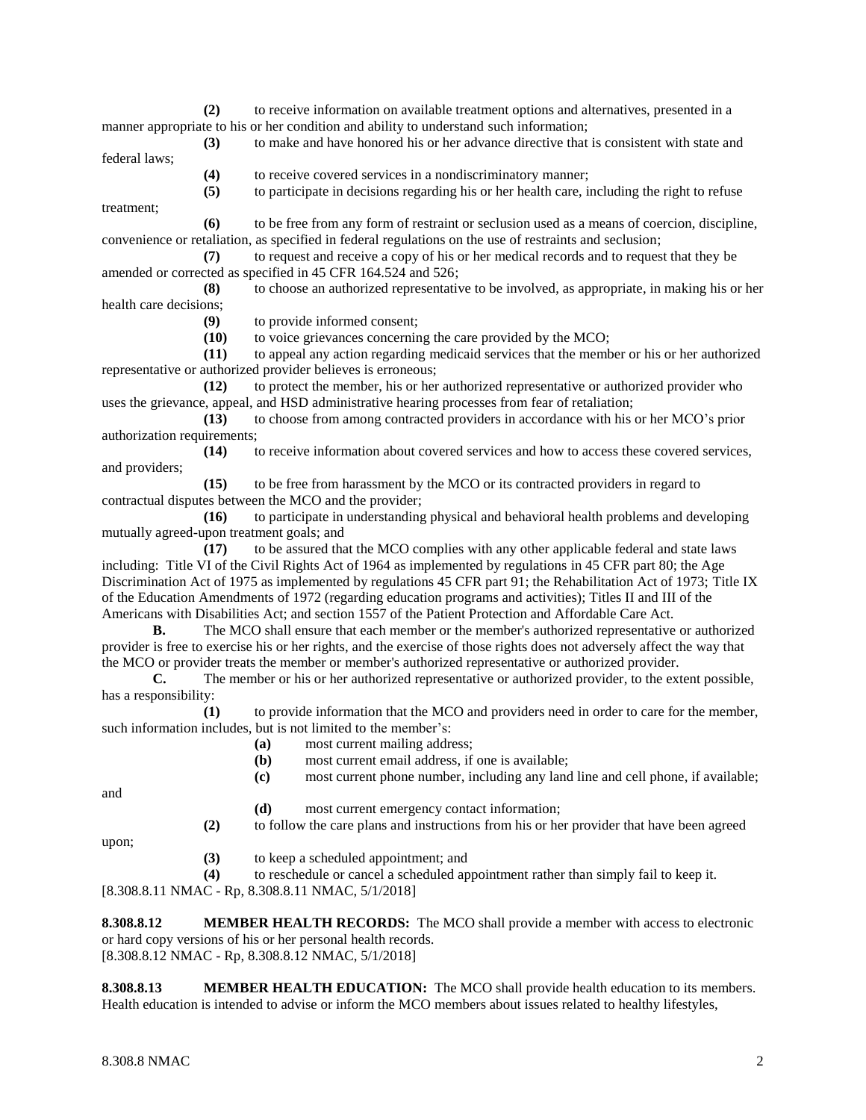**(2)** to receive information on available treatment options and alternatives, presented in a manner appropriate to his or her condition and ability to understand such information;

**(3)** to make and have honored his or her advance directive that is consistent with state and federal laws;

**(4)** to receive covered services in a nondiscriminatory manner;

**(5)** to participate in decisions regarding his or her health care, including the right to refuse

treatment;

**(6)** to be free from any form of restraint or seclusion used as a means of coercion, discipline, convenience or retaliation, as specified in federal regulations on the use of restraints and seclusion;

**(7)** to request and receive a copy of his or her medical records and to request that they be amended or corrected as specified in 45 CFR 164.524 and 526;

**(8)** to choose an authorized representative to be involved, as appropriate, in making his or her health care decisions;

**(9)** to provide informed consent;

**(10)** to voice grievances concerning the care provided by the MCO;

**(11)** to appeal any action regarding medicaid services that the member or his or her authorized representative or authorized provider believes is erroneous;

**(12)** to protect the member, his or her authorized representative or authorized provider who uses the grievance, appeal, and HSD administrative hearing processes from fear of retaliation;

**(13)** to choose from among contracted providers in accordance with his or her MCO's prior authorization requirements;

**(14)** to receive information about covered services and how to access these covered services, and providers;

**(15)** to be free from harassment by the MCO or its contracted providers in regard to contractual disputes between the MCO and the provider;

**(16)** to participate in understanding physical and behavioral health problems and developing mutually agreed-upon treatment goals; and

**(17)** to be assured that the MCO complies with any other applicable federal and state laws including: Title VI of the Civil Rights Act of 1964 as implemented by regulations in 45 CFR part 80; the Age Discrimination Act of 1975 as implemented by regulations 45 CFR part 91; the Rehabilitation Act of 1973; Title IX of the Education Amendments of 1972 (regarding education programs and activities); Titles II and III of the Americans with Disabilities Act; and section 1557 of the Patient Protection and Affordable Care Act.

**B.** The MCO shall ensure that each member or the member's authorized representative or authorized provider is free to exercise his or her rights, and the exercise of those rights does not adversely affect the way that the MCO or provider treats the member or member's authorized representative or authorized provider.

**C.** The member or his or her authorized representative or authorized provider, to the extent possible, has a responsibility:

**(1)** to provide information that the MCO and providers need in order to care for the member, such information includes, but is not limited to the member's:

- **(a)** most current mailing address;
- **(b)** most current email address, if one is available;
- **(c)** most current phone number, including any land line and cell phone, if available;

and

- **(d)** most current emergency contact information;
- **(2)** to follow the care plans and instructions from his or her provider that have been agreed

upon;

**(3)** to keep a scheduled appointment; and

**(4)** to reschedule or cancel a scheduled appointment rather than simply fail to keep it.

[8.308.8.11 NMAC - Rp, 8.308.8.11 NMAC, 5/1/2018]

**8.308.8.12 MEMBER HEALTH RECORDS:** The MCO shall provide a member with access to electronic or hard copy versions of his or her personal health records. [8.308.8.12 NMAC - Rp, 8.308.8.12 NMAC, 5/1/2018]

**8.308.8.13 MEMBER HEALTH EDUCATION:** The MCO shall provide health education to its members. Health education is intended to advise or inform the MCO members about issues related to healthy lifestyles,